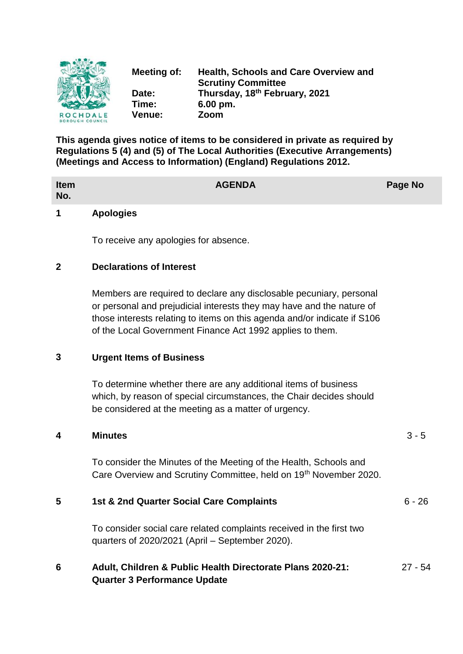

**Meeting of: Health, Schools and Care Overview and Scrutiny Committee Date: Thursday, 18th February, 2021 Time: 6.00 pm. Venue: Zoom**

**This agenda gives notice of items to be considered in private as required by Regulations 5 (4) and (5) of The Local Authorities (Executive Arrangements) (Meetings and Access to Information) (England) Regulations 2012.**

| <b>Item</b><br>No. |                  | <b>AGENDA</b> | <b>Page No</b> |
|--------------------|------------------|---------------|----------------|
| 1                  | <b>Apologies</b> |               |                |

To receive any apologies for absence.

#### **2 Declarations of Interest**

Members are required to declare any disclosable pecuniary, personal or personal and prejudicial interests they may have and the nature of those interests relating to items on this agenda and/or indicate if S106 of the Local Government Finance Act 1992 applies to them.

### **3 Urgent Items of Business**

To determine whether there are any additional items of business which, by reason of special circumstances, the Chair decides should be considered at the meeting as a matter of urgency.

# **4 Minutes** 3 - 5 To consider the Minutes of the Meeting of the Health, Schools and Care Overview and Scrutiny Committee, held on 19<sup>th</sup> November 2020. **5 1st & 2nd Quarter Social Care Complaints** 6 - 26 To consider social care related complaints received in the first two quarters of 2020/2021 (April – September 2020). **6 Adult, Children & Public Health Directorate Plans 2020-21: Quarter 3 Performance Update** 27 - 54